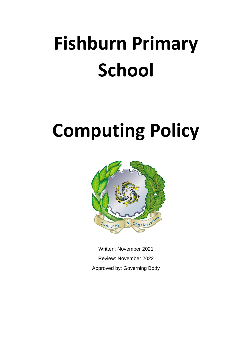# **Fishburn Primary School**

# **Computing Policy**



Written: November 2021 Review: November 2022 Approved by: Governing Body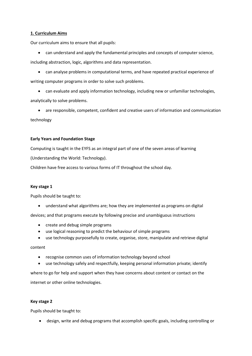# **1. Curriculum Aims**

Our curriculum aims to ensure that all pupils:

• can understand and apply the fundamental principles and concepts of computer science,

including abstraction, logic, algorithms and data representation.

• can analyse problems in computational terms, and have repeated practical experience of writing computer programs in order to solve such problems.

• can evaluate and apply information technology, including new or unfamiliar technologies, analytically to solve problems.

• are responsible, competent, confident and creative users of information and communication technology

# **Early Years and Foundation Stage**

Computing is taught in the EYFS as an integral part of one of the seven areas of learning

(Understanding the World: Technology).

Children have free access to various forms of IT throughout the school day.

## **Key stage 1**

Pupils should be taught to:

• understand what algorithms are; how they are implemented as programs on digital

devices; and that programs execute by following precise and unambiguous instructions

- create and debug simple programs
- use logical reasoning to predict the behaviour of simple programs
- use technology purposefully to create, organise, store, manipulate and retrieve digital

# content

- recognise common uses of information technology beyond school
- use technology safely and respectfully, keeping personal information private; identify

where to go for help and support when they have concerns about content or contact on the internet or other online technologies.

## **Key stage 2**

Pupils should be taught to:

• design, write and debug programs that accomplish specific goals, including controlling or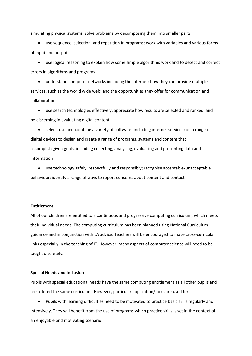simulating physical systems; solve problems by decomposing them into smaller parts

• use sequence, selection, and repetition in programs; work with variables and various forms of input and output

• use logical reasoning to explain how some simple algorithms work and to detect and correct errors in algorithms and programs

• understand computer networks including the internet; how they can provide multiple services, such as the world wide web; and the opportunities they offer for communication and collaboration

• use search technologies effectively, appreciate how results are selected and ranked, and be discerning in evaluating digital content

• select, use and combine a variety of software (including internet services) on a range of digital devices to design and create a range of programs, systems and content that accomplish given goals, including collecting, analysing, evaluating and presenting data and information

• use technology safely, respectfully and responsibly; recognise acceptable/unacceptable behaviour; identify a range of ways to report concerns about content and contact.

#### **Entitlement**

All of our children are entitled to a continuous and progressive computing curriculum, which meets their individual needs. The computing curriculum has been planned using National Curriculum guidance and in conjunction with LA advice. Teachers will be encouraged to make cross-curricular links especially in the teaching of IT. However, many aspects of computer science will need to be taught discretely.

#### **Special Needs and Inclusion**

Pupils with special educational needs have the same computing entitlement as all other pupils and are offered the same curriculum. However, particular application/tools are used for:

• Pupils with learning difficulties need to be motivated to practice basic skills regularly and intensively. They will benefit from the use of programs which practice skills is set in the context of an enjoyable and motivating scenario.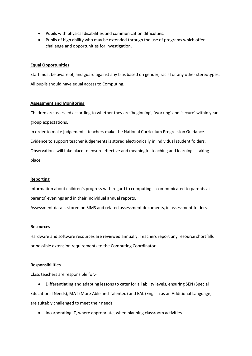- Pupils with physical disabilities and communication difficulties.
- Pupils of high ability who may be extended through the use of programs which offer challenge and opportunities for investigation.

#### **Equal Opportunities**

Staff must be aware of, and guard against any bias based on gender, racial or any other stereotypes. All pupils should have equal access to Computing.

#### **Assessment and Monitoring**

Children are assessed according to whether they are 'beginning', 'working' and 'secure' within year group expectations.

In order to make judgements, teachers make the National Curriculum Progression Guidance. Evidence to support teacher judgements is stored electronically in individual student folders. Observations will take place to ensure effective and meaningful teaching and learning is taking

place.

## **Reporting**

Information about children's progress with regard to computing is communicated to parents at parents' evenings and in their individual annual reports.

Assessment data is stored on SIMS and related assessment documents, in assessment folders.

#### **Resources**

Hardware and software resources are reviewed annually. Teachers report any resource shortfalls or possible extension requirements to the Computing Coordinator.

#### **Responsibilities**

Class teachers are responsible for:-

- Differentiating and adapting lessons to cater for all ability levels, ensuring SEN (Special Educational Needs), MAT (More Able and Talented) and EAL (English as an Additional Language) are suitably challenged to meet their needs.
	- Incorporating IT, where appropriate, when planning classroom activities.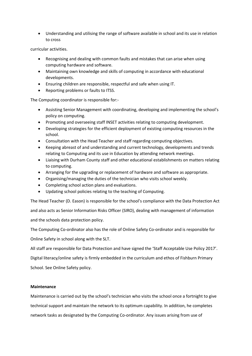• Understanding and utilising the range of software available in school and its use in relation to cross

curricular activities.

- Recognising and dealing with common faults and mistakes that can arise when using computing hardware and software.
- Maintaining own knowledge and skills of computing in accordance with educational developments.
- Ensuring children are responsible, respectful and safe when using IT.
- Reporting problems or faults to ITSS.

The Computing coordinator is responsible for:-

- Assisting Senior Management with coordinating, developing and implementing the school's policy on computing.
- Promoting and overseeing staff INSET activities relating to computing development.
- Developing strategies for the efficient deployment of existing computing resources in the school.
- Consultation with the Head Teacher and staff regarding computing objectives.
- Keeping abreast of and understanding and current technology, developments and trends relating to Computing and its use in Education by attending network meetings.
- Liaising with Durham County staff and other educational establishments on matters relating to computing.
- Arranging for the upgrading or replacement of hardware and software as appropriate.
- Organising/managing the duties of the technician who visits school weekly.
- Completing school action plans and evaluations.
- Updating school policies relating to the teaching of Computing.

The Head Teacher (D. Eason) is responsible for the school's compliance with the Data Protection Act

and also acts as Senior Information Risks Officer (SIRO), dealing with management of information and the schools data protection policy.

The Computing Co-ordinator also has the role of Online Safety Co-ordinator and is responsible for Online Safety in school along with the SLT.

All staff are responsible for Data Protection and have signed the 'Staff Acceptable Use Policy 2017'. Digital literacy/online safety is firmly embedded in the curriculum and ethos of Fishburn Primary School. See Online Safety policy.

## **Maintenance**

Maintenance is carried out by the school's technician who visits the school once a fortnight to give technical support and maintain the network to its optimum capability. In addition, he completes network tasks as designated by the Computing Co-ordinator. Any issues arising from use of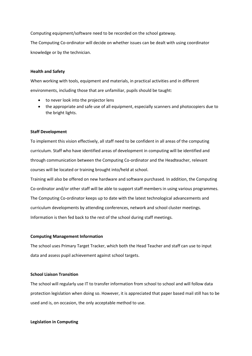Computing equipment/software need to be recorded on the school gateway.

The Computing Co-ordinator will decide on whether issues can be dealt with using coordinator knowledge or by the technician.

## **Health and Safety**

When working with tools, equipment and materials, in practical activities and in different environments, including those that are unfamiliar, pupils should be taught:

- to never look into the projector lens
- the appropriate and safe use of all equipment, especially scanners and photocopiers due to the bright lights.

## **Staff Development**

To implement this vision effectively, all staff need to be confident in all areas of the computing curriculum. Staff who have identified areas of development in computing will be identified and through communication between the Computing Co-ordinator and the Headteacher, relevant courses will be located or training brought into/held at school.

Training will also be offered on new hardware and software purchased. In addition, the Computing Co-ordinator and/or other staff will be able to support staff members in using various programmes. The Computing Co-ordinator keeps up to date with the latest technological advancements and curriculum developments by attending conferences, network and school cluster meetings. Information is then fed back to the rest of the school during staff meetings.

## **Computing Management Information**

The school uses Primary Target Tracker, which both the Head Teacher and staff can use to input data and assess pupil achievement against school targets.

## **School Liaison Transition**

The school will regularly use IT to transfer information from school to school and will follow data protection legislation when doing so. However, it is appreciated that paper based mail still has to be used and is, on occasion, the only acceptable method to use.

## **Legislation in Computing**